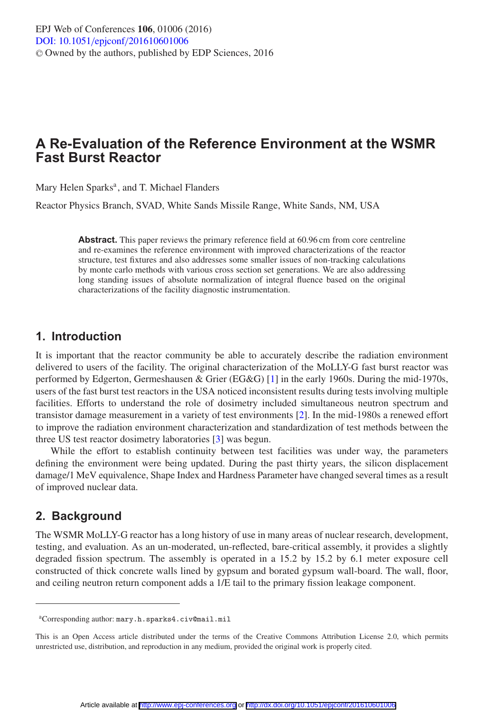# **A Re-Evaluation of the Reference Environment at the WSMR Fast Burst Reactor**

Mary Helen Sparks<sup>a</sup>, and T. Michael Flanders

Reactor Physics Branch, SVAD, White Sands Missile Range, White Sands, NM, USA

**Abstract.** This paper reviews the primary reference field at 60.96 cm from core centreline and re-examines the reference environment with improved characterizations of the reactor structure, test fixtures and also addresses some smaller issues of non-tracking calculations by monte carlo methods with various cross section set generations. We are also addressing long standing issues of absolute normalization of integral fluence based on the original characterizations of the facility diagnostic instrumentation.

## **1. Introduction**

It is important that the reactor community be able to accurately describe the radiation environment delivered to users of the facility. The original characterization of the MoLLY-G fast burst reactor was performed by Edgerton, Germeshausen & Grier (EG&G) [\[1](#page-7-0)] in the early 1960s. During the mid-1970s, users of the fast burst test reactors in the USA noticed inconsistent results during tests involving multiple facilities. Efforts to understand the role of dosimetry included simultaneous neutron spectrum and transistor damage measurement in a variety of test environments [\[2\]](#page-7-1). In the mid-1980s a renewed effort to improve the radiation environment characterization and standardization of test methods between the three US test reactor dosimetry laboratories [\[3\]](#page-7-2) was begun.

While the effort to establish continuity between test facilities was under way, the parameters defining the environment were being updated. During the past thirty years, the silicon displacement damage/1 MeV equivalence, Shape Index and Hardness Parameter have changed several times as a result of improved nuclear data.

# **2. Background**

The WSMR MoLLY-G reactor has a long history of use in many areas of nuclear research, development, testing, and evaluation. As an un-moderated, un-reflected, bare-critical assembly, it provides a slightly degraded fission spectrum. The assembly is operated in a 15.2 by 15.2 by 6.1 meter exposure cell constructed of thick concrete walls lined by gypsum and borated gypsum wall-board. The wall, floor, and ceiling neutron return component adds a 1/E tail to the primary fission leakage component.

aCorresponding author: mary.h.sparks4.civ@mail.mil

This is an Open Access article distributed under the terms of the Creative Commons Attribution License 2.0, which permits unrestricted use, distribution, and reproduction in any medium, provided the original work is properly cited.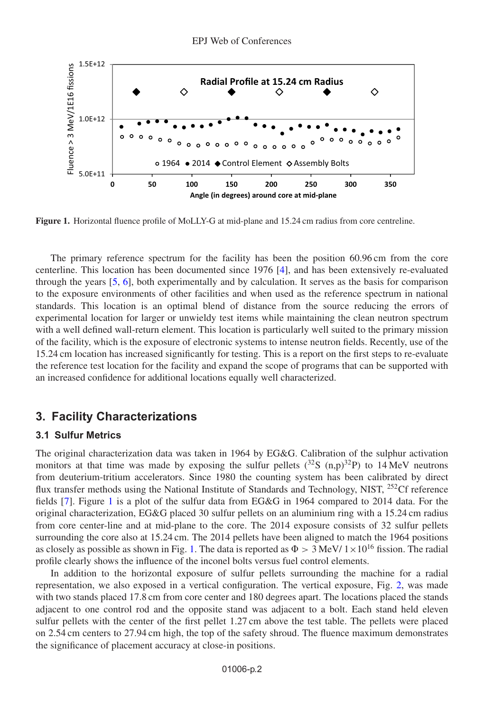<span id="page-1-0"></span>

**Figure 1.** Horizontal fluence profile of MoLLY-G at mid-plane and 15.24 cm radius from core centreline.

The primary reference spectrum for the facility has been the position 60.96 cm from the core centerline. This location has been documented since 1976 [\[4\]](#page-7-3), and has been extensively re-evaluated through the years  $[5, 6]$  $[5, 6]$  $[5, 6]$  $[5, 6]$ , both experimentally and by calculation. It serves as the basis for comparison to the exposure environments of other facilities and when used as the reference spectrum in national standards. This location is an optimal blend of distance from the source reducing the errors of experimental location for larger or unwieldy test items while maintaining the clean neutron spectrum with a well defined wall-return element. This location is particularly well suited to the primary mission of the facility, which is the exposure of electronic systems to intense neutron fields. Recently, use of the 15.24 cm location has increased significantly for testing. This is a report on the first steps to re-evaluate the reference test location for the facility and expand the scope of programs that can be supported with an increased confidence for additional locations equally well characterized.

### **3. Facility Characterizations**

#### **3.1 Sulfur Metrics**

The original characterization data was taken in 1964 by EG&G. Calibration of the sulphur activation monitors at that time was made by exposing the sulfur pellets  $(^{32}S \text{ (n,p)}^{32}P)$  to 14 MeV neutrons from deuterium-tritium accelerators. Since 1980 the counting system has been calibrated by direct flux transfer methods using the National Institute of Standards and Technology, NIST, <sup>252</sup>Cf reference fields [\[7\]](#page-7-6). Figure [1](#page-1-0) is a plot of the sulfur data from EG&G in 1964 compared to 2014 data. For the original characterization, EG&G placed 30 sulfur pellets on an aluminium ring with a 15.24 cm radius from core center-line and at mid-plane to the core. The 2014 exposure consists of 32 sulfur pellets surrounding the core also at 15.24 cm. The 2014 pellets have been aligned to match the 1964 positions as closely as possible as shown in Fig. [1.](#page-1-0) The data is reported as  $\Phi > 3$  MeV/  $1 \times 10^{16}$  fission. The radial profile clearly shows the influence of the inconel bolts versus fuel control elements.

In addition to the horizontal exposure of sulfur pellets surrounding the machine for a radial representation, we also exposed in a vertical configuration. The vertical exposure, Fig. [2,](#page-2-0) was made with two stands placed 17.8 cm from core center and 180 degrees apart. The locations placed the stands adjacent to one control rod and the opposite stand was adjacent to a bolt. Each stand held eleven sulfur pellets with the center of the first pellet 1.27 cm above the test table. The pellets were placed on 2.54 cm centers to 27.94 cm high, the top of the safety shroud. The fluence maximum demonstrates the significance of placement accuracy at close-in positions.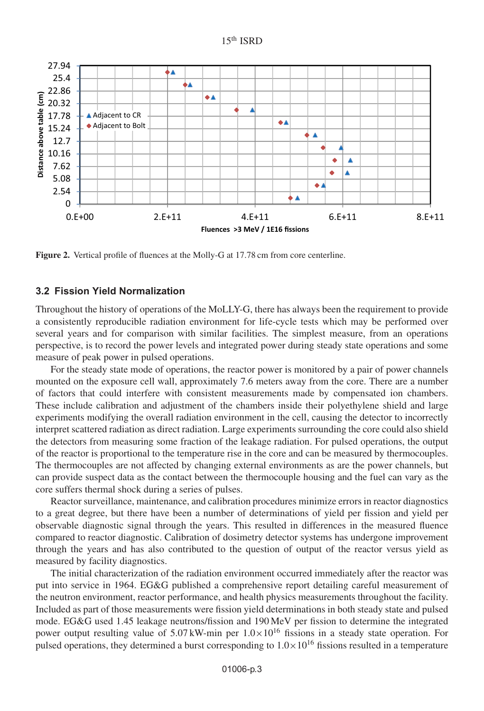<span id="page-2-0"></span>

**Figure 2.** Vertical profile of fluences at the Molly-G at 17.78 cm from core centerline.

#### **3.2 Fission Yield Normalization**

Throughout the history of operations of the MoLLY-G, there has always been the requirement to provide a consistently reproducible radiation environment for life-cycle tests which may be performed over several years and for comparison with similar facilities. The simplest measure, from an operations perspective, is to record the power levels and integrated power during steady state operations and some measure of peak power in pulsed operations.

For the steady state mode of operations, the reactor power is monitored by a pair of power channels mounted on the exposure cell wall, approximately 7.6 meters away from the core. There are a number of factors that could interfere with consistent measurements made by compensated ion chambers. These include calibration and adjustment of the chambers inside their polyethylene shield and large experiments modifying the overall radiation environment in the cell, causing the detector to incorrectly interpret scattered radiation as direct radiation. Large experiments surrounding the core could also shield the detectors from measuring some fraction of the leakage radiation. For pulsed operations, the output of the reactor is proportional to the temperature rise in the core and can be measured by thermocouples. The thermocouples are not affected by changing external environments as are the power channels, but can provide suspect data as the contact between the thermocouple housing and the fuel can vary as the core suffers thermal shock during a series of pulses.

Reactor surveillance, maintenance, and calibration procedures minimize errors in reactor diagnostics to a great degree, but there have been a number of determinations of yield per fission and yield per observable diagnostic signal through the years. This resulted in differences in the measured fluence compared to reactor diagnostic. Calibration of dosimetry detector systems has undergone improvement through the years and has also contributed to the question of output of the reactor versus yield as measured by facility diagnostics.

The initial characterization of the radiation environment occurred immediately after the reactor was put into service in 1964. EG&G published a comprehensive report detailing careful measurement of the neutron environment, reactor performance, and health physics measurements throughout the facility. Included as part of those measurements were fission yield determinations in both steady state and pulsed mode. EG&G used 1.45 leakage neutrons/fission and 190 MeV per fission to determine the integrated power output resulting value of  $5.07 \text{ kW-min}$  per  $1.0 \times 10^{16}$  fissions in a steady state operation. For pulsed operations, they determined a burst corresponding to  $1.0 \times 10^{16}$  fissions resulted in a temperature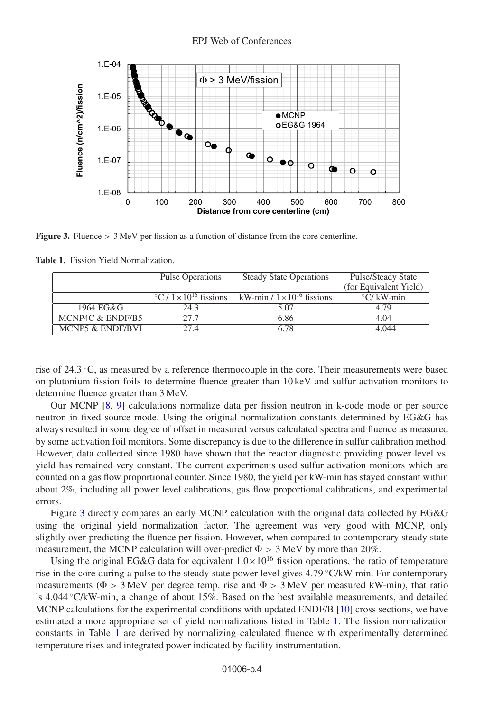<span id="page-3-0"></span>

**Figure 3.** Fluence > 3 MeV per fission as a function of distance from the core centerline.

|                  | <b>Pulse Operations</b>                      | <b>Steady State Operations</b>       | Pulse/Steady State                  |  |
|------------------|----------------------------------------------|--------------------------------------|-------------------------------------|--|
|                  |                                              |                                      | (for Equivalent Yield)              |  |
|                  | $\sqrt{\frac{6}{1 \times 10^{16}}}$ fissions | kW-min / $1 \times 10^{16}$ fissions | $\mathrm{C}/\mathrm{kW}\text{-min}$ |  |
| 1964 EG&G        | 24.3                                         | 5.07                                 | 4.79                                |  |
| MCNP4C & ENDF/B5 | 27.7                                         | 6.86                                 | 4.04                                |  |
| MCNP5 & ENDF/BVI | 27.4                                         | 6.78                                 | 4.044                               |  |

<span id="page-3-1"></span>**Table 1.** Fission Yield Normalization.

rise of 24.3 ◦C, as measured by a reference thermocouple in the core. Their measurements were based on plutonium fission foils to determine fluence greater than 10 keV and sulfur activation monitors to determine fluence greater than 3 MeV.

Our MCNP [\[8,](#page-7-7) [9](#page-7-8)] calculations normalize data per fission neutron in k-code mode or per source neutron in fixed source mode. Using the original normalization constants determined by EG&G has always resulted in some degree of offset in measured versus calculated spectra and fluence as measured by some activation foil monitors. Some discrepancy is due to the difference in sulfur calibration method. However, data collected since 1980 have shown that the reactor diagnostic providing power level vs. yield has remained very constant. The current experiments used sulfur activation monitors which are counted on a gas flow proportional counter. Since 1980, the yield per kW-min has stayed constant within about 2%, including all power level calibrations, gas flow proportional calibrations, and experimental errors.

Figure [3](#page-3-0) directly compares an early MCNP calculation with the original data collected by EG&G using the original yield normalization factor. The agreement was very good with MCNP, only slightly over-predicting the fluence per fission. However, when compared to contemporary steady state measurement, the MCNP calculation will over-predict  $\Phi > 3$  MeV by more than 20%.

Using the original EG&G data for equivalent  $1.0 \times 10^{16}$  fission operations, the ratio of temperature rise in the core during a pulse to the steady state power level gives 4.79 ◦C/kW-min. For contemporary measurements ( $\Phi > 3$  MeV per degree temp. rise and  $\Phi > 3$  MeV per measured kW-min), that ratio is 4.044 ◦C/kW-min, a change of about 15%. Based on the best available measurements, and detailed MCNP calculations for the experimental conditions with updated ENDF/B [\[10](#page-7-9)] cross sections, we have estimated a more appropriate set of yield normalizations listed in Table [1.](#page-3-1) The fission normalization constants in Table [1](#page-3-1) are derived by normalizing calculated fluence with experimentally determined temperature rises and integrated power indicated by facility instrumentation.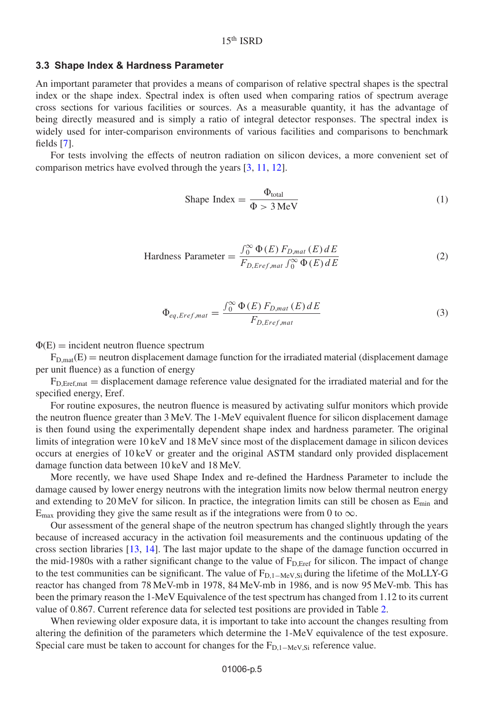#### **3.3 Shape Index & Hardness Parameter**

An important parameter that provides a means of comparison of relative spectral shapes is the spectral index or the shape index. Spectral index is often used when comparing ratios of spectrum average cross sections for various facilities or sources. As a measurable quantity, it has the advantage of being directly measured and is simply a ratio of integral detector responses. The spectral index is widely used for inter-comparison environments of various facilities and comparisons to benchmark fields [\[7\]](#page-7-6).

For tests involving the effects of neutron radiation on silicon devices, a more convenient set of comparison metrics have evolved through the years [\[3,](#page-7-2) [11,](#page-7-10) [12\]](#page-7-11).

$$
Shape Index = \frac{\Phi_{\text{total}}}{\Phi > 3 \text{ MeV}} \tag{1}
$$

$$
\text{Hardness Parameter} = \frac{\int_0^\infty \Phi(E) \, F_{D, mat} \left( E \right) dE}{F_{D, Eref, mat} \int_0^\infty \Phi(E) \, dE} \tag{2}
$$

$$
\Phi_{eq, Eref, mat} = \frac{\int_0^\infty \Phi(E) F_{D, mat}(E) dE}{F_{D, Eref, mat}} \tag{3}
$$

 $\Phi(E)$  = incident neutron fluence spectrum

 $F_{D, \text{mat}}(E)$  = neutron displacement damage function for the irradiated material (displacement damage per unit fluence) as a function of energy

 $F_{D, Eref, mat} =$  displacement damage reference value designated for the irradiated material and for the specified energy, Eref.

For routine exposures, the neutron fluence is measured by activating sulfur monitors which provide the neutron fluence greater than 3 MeV. The 1-MeV equivalent fluence for silicon displacement damage is then found using the experimentally dependent shape index and hardness parameter. The original limits of integration were 10 keV and 18 MeV since most of the displacement damage in silicon devices occurs at energies of 10 keV or greater and the original ASTM standard only provided displacement damage function data between 10 keV and 18 MeV.

More recently, we have used Shape Index and re-defined the Hardness Parameter to include the damage caused by lower energy neutrons with the integration limits now below thermal neutron energy and extending to  $20 \text{ MeV}$  for silicon. In practice, the integration limits can still be chosen as  $E_{\text{min}}$  and  $E_{\text{max}}$  providing they give the same result as if the integrations were from 0 to  $\infty$ .

Our assessment of the general shape of the neutron spectrum has changed slightly through the years because of increased accuracy in the activation foil measurements and the continuous updating of the cross section libraries [\[13,](#page-7-12) [14](#page-7-13)]. The last major update to the shape of the damage function occurred in the mid-1980s with a rather significant change to the value of  $F<sub>D,Eref</sub>$  for silicon. The impact of change to the test communities can be significant. The value of  $F_{D,1-MeV,Si}$  during the lifetime of the MoLLY-G reactor has changed from 78 MeV-mb in 1978, 84 MeV-mb in 1986, and is now 95 MeV-mb. This has been the primary reason the 1-MeV Equivalence of the test spectrum has changed from 1.12 to its current value of 0.867. Current reference data for selected test positions are provided in Table [2.](#page-5-0)

When reviewing older exposure data, it is important to take into account the changes resulting from altering the definition of the parameters which determine the 1-MeV equivalence of the test exposure. Special care must be taken to account for changes for the  $F_{D,1-MeV,Si}$  reference value.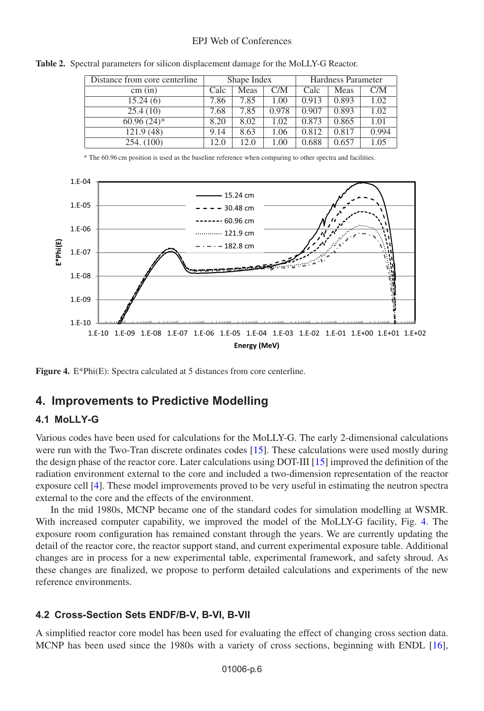#### EPJ Web of Conferences

<span id="page-5-0"></span>**Table 2.** Spectral parameters for silicon displacement damage for the MoLLY-G Reactor.

| Distance from core centerline | Shape Index |      |       | Hardness Parameter |       |       |
|-------------------------------|-------------|------|-------|--------------------|-------|-------|
| cm (in)                       | Calc        | Meas | C/M   | Calc               | Meas  | CMM   |
| 15.24(6)                      | 7.86        | 7.85 | 1.00  | 0.913              | 0.893 | 1.02  |
| 25.4(10)                      | 7.68        | 7.85 | 0.978 | 0.907              | 0.893 | 1.02  |
| $60.96(24)$ *                 | 8.20        | 8.02 | 1.02  | 0.873              | 0.865 | 1.01  |
| 121.9(48)                     | 9.14        | 8.63 | 1.06  | 0.812              | 0.817 | 0.994 |
| 254. (100)                    | 12.0        | 12.0 | 1.00  | 0.688              | 0.657 | 1.05  |

\* The 60.96 cm position is used as the baseline reference when comparing to other spectra and facilities.

<span id="page-5-1"></span>

**Figure 4.** E\*Phi(E): Spectra calculated at 5 distances from core centerline.

### **4. Improvements to Predictive Modelling**

#### **4.1 MoLLY-G**

Various codes have been used for calculations for the MoLLY-G. The early 2-dimensional calculations were run with the Two-Tran discrete ordinates codes [\[15](#page-7-14)]. These calculations were used mostly during the design phase of the reactor core. Later calculations using DOT-III [\[15\]](#page-7-14) improved the definition of the radiation environment external to the core and included a two-dimension representation of the reactor exposure cell [\[4\]](#page-7-3). These model improvements proved to be very useful in estimating the neutron spectra external to the core and the effects of the environment.

In the mid 1980s, MCNP became one of the standard codes for simulation modelling at WSMR. With increased computer capability, we improved the model of the MoLLY-G facility, Fig. [4.](#page-5-1) The exposure room configuration has remained constant through the years. We are currently updating the detail of the reactor core, the reactor support stand, and current experimental exposure table. Additional changes are in process for a new experimental table, experimental framework, and safety shroud. As these changes are finalized, we propose to perform detailed calculations and experiments of the new reference environments.

#### **4.2 Cross-Section Sets ENDF/B-V, B-VI, B-VII**

A simplified reactor core model has been used for evaluating the effect of changing cross section data. MCNP has been used since the 1980s with a variety of cross sections, beginning with ENDL [\[16\]](#page-7-15),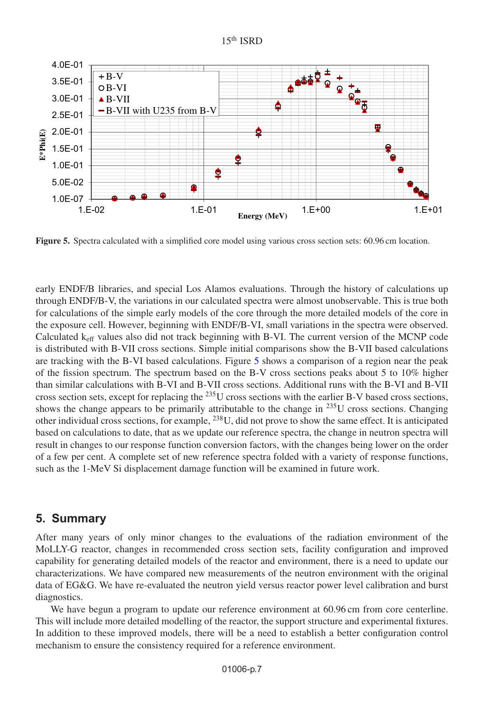#### 15th ISRD

<span id="page-6-0"></span>

**Figure 5.** Spectra calculated with a simplified core model using various cross section sets: 60.96 cm location.

early ENDF/B libraries, and special Los Alamos evaluations. Through the history of calculations up through ENDF/B-V, the variations in our calculated spectra were almost unobservable. This is true both for calculations of the simple early models of the core through the more detailed models of the core in the exposure cell. However, beginning with ENDF/B-VI, small variations in the spectra were observed. Calculated keff values also did not track beginning with B-VI. The current version of the MCNP code is distributed with B-VII cross sections. Simple initial comparisons show the B-VII based calculations are tracking with the B-VI based calculations. Figure [5](#page-6-0) shows a comparison of a region near the peak of the fission spectrum. The spectrum based on the B-V cross sections peaks about 5 to 10% higher than similar calculations with B-VI and B-VII cross sections. Additional runs with the B-VI and B-VII cross section sets, except for replacing the <sup>235</sup>U cross sections with the earlier B-V based cross sections, shows the change appears to be primarily attributable to the change in <sup>235</sup>U cross sections. Changing other individual cross sections, for example,  $^{238}$ U, did not prove to show the same effect. It is anticipated based on calculations to date, that as we update our reference spectra, the change in neutron spectra will result in changes to our response function conversion factors, with the changes being lower on the order of a few per cent. A complete set of new reference spectra folded with a variety of response functions, such as the 1-MeV Si displacement damage function will be examined in future work.

# **5. Summary**

After many years of only minor changes to the evaluations of the radiation environment of the MoLLY-G reactor, changes in recommended cross section sets, facility configuration and improved capability for generating detailed models of the reactor and environment, there is a need to update our characterizations. We have compared new measurements of the neutron environment with the original data of EG&G. We have re-evaluated the neutron yield versus reactor power level calibration and burst diagnostics.

We have begun a program to update our reference environment at 60.96 cm from core centerline. This will include more detailed modelling of the reactor, the support structure and experimental fixtures. In addition to these improved models, there will be a need to establish a better configuration control mechanism to ensure the consistency required for a reference environment.